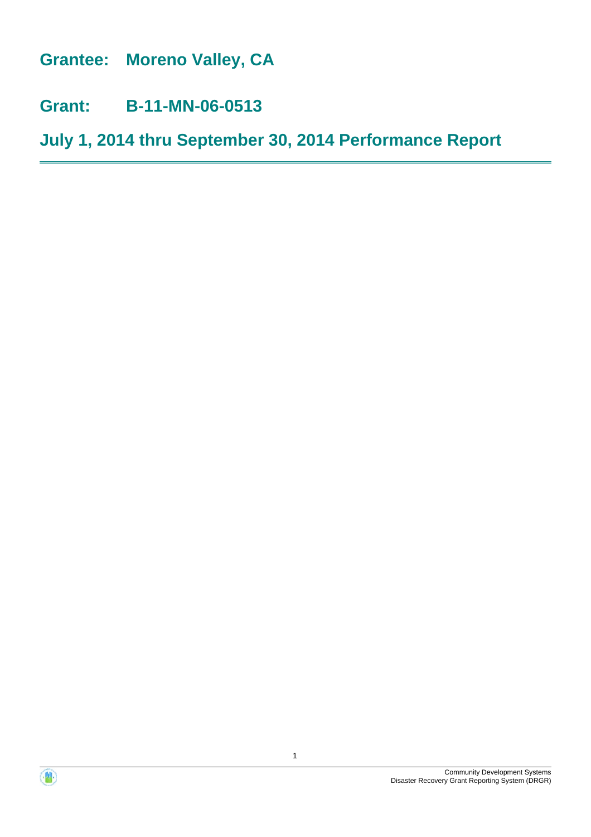**Grantee: Moreno Valley, CA**

**Grant: B-11-MN-06-0513**

**July 1, 2014 thru September 30, 2014 Performance Report**



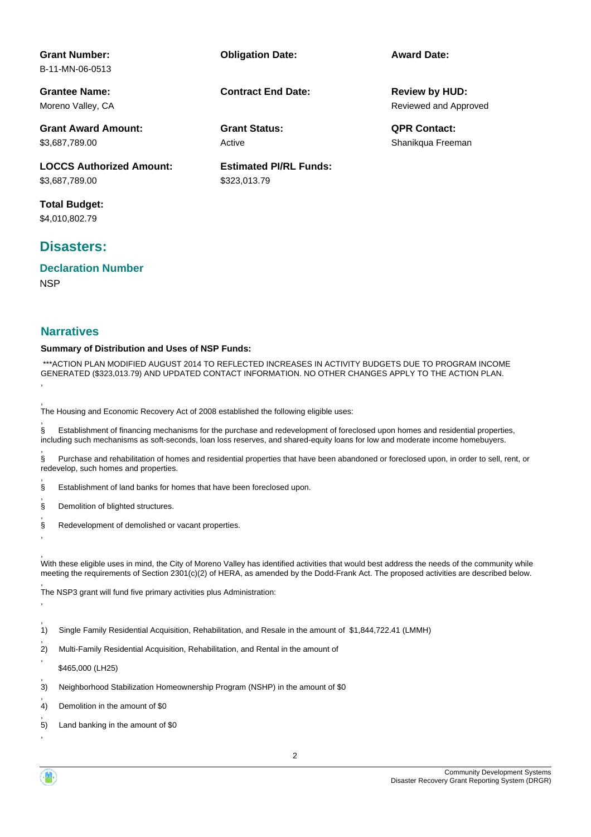| <b>Grant Number:</b><br>B-11-MN-06-0513 | <b>Obligation Date:</b>       | <b>Award Date:</b>    |
|-----------------------------------------|-------------------------------|-----------------------|
| <b>Grantee Name:</b>                    | <b>Contract End Date:</b>     | <b>Review by HUD:</b> |
| Moreno Valley, CA                       |                               | Reviewed and Approved |
| <b>Grant Award Amount:</b>              | <b>Grant Status:</b>          | <b>QPR Contact:</b>   |
| \$3,687,789.00                          | Active                        | Shanikqua Freeman     |
| <b>LOCCS Authorized Amount:</b>         | <b>Estimated PI/RL Funds:</b> |                       |
| \$3,687,789.00                          | \$323,013.79                  |                       |
| <b>Total Budget:</b>                    |                               |                       |

\$4,010,802.79

# **Disasters:**

**NSP Declaration Number**

#### **Narratives**

#### **Summary of Distribution and Uses of NSP Funds:**

 \*\*\*ACTION PLAN MODIFIED AUGUST 2014 TO REFLECTED INCREASES IN ACTIVITY BUDGETS DUE TO PROGRAM INCOME GENERATED (\$323,013.79) AND UPDATED CONTACT INFORMATION. NO OTHER CHANGES APPLY TO THE ACTION PLAN. ,

, The Housing and Economic Recovery Act of 2008 established the following eligible uses:

, § Establishment of financing mechanisms for the purchase and redevelopment of foreclosed upon homes and residential properties, including such mechanisms as soft-seconds, loan loss reserves, and shared-equity loans for low and moderate income homebuyers.

, § Purchase and rehabilitation of homes and residential properties that have been abandoned or foreclosed upon, in order to sell, rent, or redevelop, such homes and properties.

, § Establishment of land banks for homes that have been foreclosed upon.

, § Demolition of blighted structures.

, § Redevelopment of demolished or vacant properties.

, With these eligible uses in mind, the City of Moreno Valley has identified activities that would best address the needs of the community while meeting the requirements of Section 2301(c)(2) of HERA, as amended by the Dodd-Frank Act. The proposed activities are described below.

, The NSP3 grant will fund five primary activities plus Administration:

- , 1) Single Family Residential Acquisition, Rehabilitation, and Resale in the amount of \$1,844,722.41 (LMMH)
- , 2) Multi-Family Residential Acquisition, Rehabilitation, and Rental in the amount of

, \$465,000 (LH25)

,

,

,

- , 3) Neighborhood Stabilization Homeownership Program (NSHP) in the amount of \$0
- , 4) Demolition in the amount of \$0
- , 5) Land banking in the amount of \$0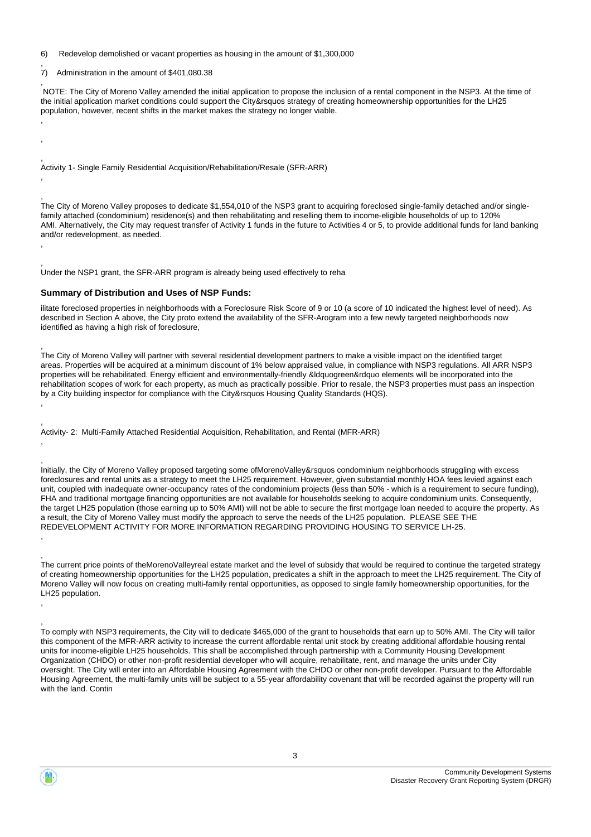6) Redevelop demolished or vacant properties as housing in the amount of \$1,300,000

, 7) Administration in the amount of \$401,080.38

, ,

,

,

,

,

,

, ,

, NOTE: The City of Moreno Valley amended the initial application to propose the inclusion of a rental component in the NSP3. At the time of the initial application market conditions could support the City&rsquos strategy of creating homeownership opportunities for the LH25 population, however, recent shifts in the market makes the strategy no longer viable.

, Activity 1- Single Family Residential Acquisition/Rehabilitation/Resale (SFR-ARR)

, The City of Moreno Valley proposes to dedicate \$1,554,010 of the NSP3 grant to acquiring foreclosed single-family detached and/or singlefamily attached (condominium) residence(s) and then rehabilitating and reselling them to income-eligible households of up to 120% AMI. Alternatively, the City may request transfer of Activity 1 funds in the future to Activities 4 or 5, to provide additional funds for land banking and/or redevelopment, as needed.

, Under the NSP1 grant, the SFR-ARR program is already being used effectively to reha

#### **Summary of Distribution and Uses of NSP Funds:**

ilitate foreclosed properties in neighborhoods with a Foreclosure Risk Score of 9 or 10 (a score of 10 indicated the highest level of need). As described in Section A above, the City proto extend the availability of the SFR-Arogram into a few newly targeted neighborhoods now identified as having a high risk of foreclosure,

, The City of Moreno Valley will partner with several residential development partners to make a visible impact on the identified target areas. Properties will be acquired at a minimum discount of 1% below appraised value, in compliance with NSP3 regulations. All ARR NSP3 properties will be rehabilitated. Energy efficient and environmentally-friendly &ldquogreen&rdquo elements will be incorporated into the rehabilitation scopes of work for each property, as much as practically possible. Prior to resale, the NSP3 properties must pass an inspection by a City building inspector for compliance with the City&rsquos Housing Quality Standards (HQS).

, Activity- 2: Multi-Family Attached Residential Acquisition, Rehabilitation, and Rental (MFR-ARR)

, Initially, the City of Moreno Valley proposed targeting some ofMorenoValley&rsquos condominium neighborhoods struggling with excess foreclosures and rental units as a strategy to meet the LH25 requirement. However, given substantial monthly HOA fees levied against each unit, coupled with inadequate owner-occupancy rates of the condominium projects (less than 50% - which is a requirement to secure funding), FHA and traditional mortgage financing opportunities are not available for households seeking to acquire condominium units. Consequently, the target LH25 population (those earning up to 50% AMI) will not be able to secure the first mortgage loan needed to acquire the property. As a result, the City of Moreno Valley must modify the approach to serve the needs of the LH25 population. PLEASE SEE THE REDEVELOPMENT ACTIVITY FOR MORE INFORMATION REGARDING PROVIDING HOUSING TO SERVICE LH-25.

, The current price points of theMorenoValleyreal estate market and the level of subsidy that would be required to continue the targeted strategy of creating homeownership opportunities for the LH25 population, predicates a shift in the approach to meet the LH25 requirement. The City of Moreno Valley will now focus on creating multi-family rental opportunities, as opposed to single family homeownership opportunities, for the LH25 population.

To comply with NSP3 requirements, the City will to dedicate \$465,000 of the grant to households that earn up to 50% AMI. The City will tailor this component of the MFR-ARR activity to increase the current affordable rental unit stock by creating additional affordable housing rental units for income-eligible LH25 households. This shall be accomplished through partnership with a Community Housing Development Organization (CHDO) or other non-profit residential developer who will acquire, rehabilitate, rent, and manage the units under City oversight. The City will enter into an Affordable Housing Agreement with the CHDO or other non-profit developer. Pursuant to the Affordable Housing Agreement, the multi-family units will be subject to a 55-year affordability covenant that will be recorded against the property will run with the land. Contin

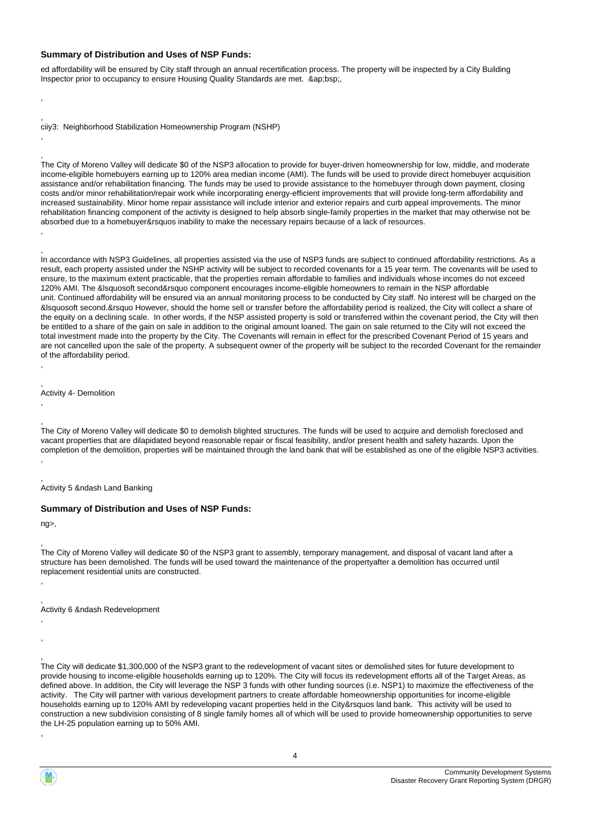#### **Summary of Distribution and Uses of NSP Funds:**

ed affordability will be ensured by City staff through an annual recertification process. The property will be inspected by a City Building Inspector prior to occupancy to ensure Housing Quality Standards are met. ≈bsp;,

ciiy3: Neighborhood Stabilization Homeownership Program (NSHP)

The City of Moreno Valley will dedicate \$0 of the NSP3 allocation to provide for buyer-driven homeownership for low, middle, and moderate income-eligible homebuyers earning up to 120% area median income (AMI). The funds will be used to provide direct homebuyer acquisition assistance and/or rehabilitation financing. The funds may be used to provide assistance to the homebuyer through down payment, closing costs and/or minor rehabilitation/repair work while incorporating energy-efficient improvements that will provide long-term affordability and increased sustainability. Minor home repair assistance will include interior and exterior repairs and curb appeal improvements. The minor rehabilitation financing component of the activity is designed to help absorb single-family properties in the market that may otherwise not be absorbed due to a homebuyer&rsquos inability to make the necessary repairs because of a lack of resources. ,

In accordance with NSP3 Guidelines, all properties assisted via the use of NSP3 funds are subject to continued affordability restrictions. As a result, each property assisted under the NSHP activity will be subject to recorded covenants for a 15 year term. The covenants will be used to ensure, to the maximum extent practicable, that the properties remain affordable to families and individuals whose incomes do not exceed 120% AMI. The &lsquosoft second&rsquo component encourages income-eligible homeowners to remain in the NSP affordable unit. Continued affordability will be ensured via an annual monitoring process to be conducted by City staff. No interest will be charged on the &lsquosoft second.&rsquo However, should the home sell or transfer before the affordability period is realized, the City will collect a share of the equity on a declining scale. In other words, if the NSP assisted property is sold or transferred within the covenant period, the City will then be entitled to a share of the gain on sale in addition to the original amount loaned. The gain on sale returned to the City will not exceed the total investment made into the property by the City. The Covenants will remain in effect for the prescribed Covenant Period of 15 years and are not cancelled upon the sale of the property. A subsequent owner of the property will be subject to the recorded Covenant for the remainder of the affordability period.

, Activity 4- Demolition

, The City of Moreno Valley will dedicate \$0 to demolish blighted structures. The funds will be used to acquire and demolish foreclosed and vacant properties that are dilapidated beyond reasonable repair or fiscal feasibility, and/or present health and safety hazards. Upon the completion of the demolition, properties will be maintained through the land bank that will be established as one of the eligible NSP3 activities. ,

Activity 5 &ndash Land Banking

#### **Summary of Distribution and Uses of NSP Funds:**

ng>,

, ,

, , ,

, ,

, ,

,

,

,

,

, The City of Moreno Valley will dedicate \$0 of the NSP3 grant to assembly, temporary management, and disposal of vacant land after a structure has been demolished. The funds will be used toward the maintenance of the propertyafter a demolition has occurred until replacement residential units are constructed.

Activity 6 &ndash Redevelopment

The City will dedicate \$1,300,000 of the NSP3 grant to the redevelopment of vacant sites or demolished sites for future development to provide housing to income-eligible households earning up to 120%. The City will focus its redevelopment efforts all of the Target Areas, as defined above. In addition, the City will leverage the NSP 3 funds with other funding sources (i.e. NSP1) to maximize the effectiveness of the activity. The City will partner with various development partners to create affordable homeownership opportunities for income-eligible households earning up to 120% AMI by redeveloping vacant properties held in the City&rsquos land bank. This activity will be used to construction a new subdivision consisting of 8 single family homes all of which will be used to provide homeownership opportunities to serve the LH-25 population earning up to 50% AMI.



,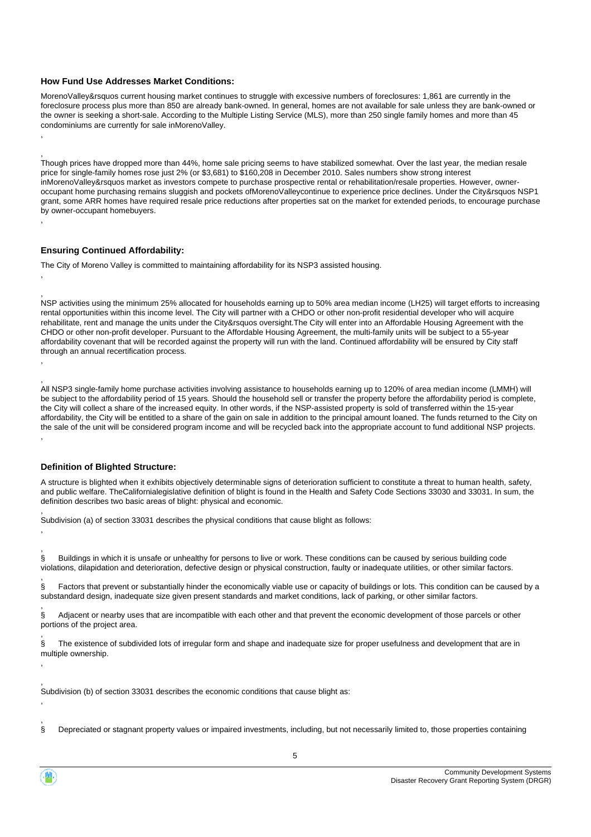#### **How Fund Use Addresses Market Conditions:**

MorenoValley&rsquos current housing market continues to struggle with excessive numbers of foreclosures: 1,861 are currently in the foreclosure process plus more than 850 are already bank-owned. In general, homes are not available for sale unless they are bank-owned or the owner is seeking a short-sale. According to the Multiple Listing Service (MLS), more than 250 single family homes and more than 45 condominiums are currently for sale inMorenoValley.

Though prices have dropped more than 44%, home sale pricing seems to have stabilized somewhat. Over the last year, the median resale price for single-family homes rose just 2% (or \$3,681) to \$160,208 in December 2010. Sales numbers show strong interest inMorenoValley&rsquos market as investors compete to purchase prospective rental or rehabilitation/resale properties. However, owneroccupant home purchasing remains sluggish and pockets ofMorenoValleycontinue to experience price declines. Under the City&rsquos NSP1 grant, some ARR homes have required resale price reductions after properties sat on the market for extended periods, to encourage purchase by owner-occupant homebuyers.

#### **Ensuring Continued Affordability:**

, ,

,

, ,

, ,

,

, ,

,

,

,

, ,

, ,

The City of Moreno Valley is committed to maintaining affordability for its NSP3 assisted housing.

NSP activities using the minimum 25% allocated for households earning up to 50% area median income (LH25) will target efforts to increasing rental opportunities within this income level. The City will partner with a CHDO or other non-profit residential developer who will acquire rehabilitate, rent and manage the units under the City&rsquos oversight.The City will enter into an Affordable Housing Agreement with the CHDO or other non-profit developer. Pursuant to the Affordable Housing Agreement, the multi-family units will be subject to a 55-year affordability covenant that will be recorded against the property will run with the land. Continued affordability will be ensured by City staff through an annual recertification process.

All NSP3 single-family home purchase activities involving assistance to households earning up to 120% of area median income (LMMH) will be subject to the affordability period of 15 years. Should the household sell or transfer the property before the affordability period is complete, the City will collect a share of the increased equity. In other words, if the NSP-assisted property is sold of transferred within the 15-year affordability, the City will be entitled to a share of the gain on sale in addition to the principal amount loaned. The funds returned to the City on the sale of the unit will be considered program income and will be recycled back into the appropriate account to fund additional NSP projects. ,

#### **Definition of Blighted Structure:**

A structure is blighted when it exhibits objectively determinable signs of deterioration sufficient to constitute a threat to human health, safety, and public welfare. TheCalifornialegislative definition of blight is found in the Health and Safety Code Sections 33030 and 33031. In sum, the definition describes two basic areas of blight: physical and economic.

Subdivision (a) of section 33031 describes the physical conditions that cause blight as follows:

§ Buildings in which it is unsafe or unhealthy for persons to live or work. These conditions can be caused by serious building code violations, dilapidation and deterioration, defective design or physical construction, faulty or inadequate utilities, or other similar factors.

§ Factors that prevent or substantially hinder the economically viable use or capacity of buildings or lots. This condition can be caused by a substandard design, inadequate size given present standards and market conditions, lack of parking, or other similar factors.

§ Adjacent or nearby uses that are incompatible with each other and that prevent the economic development of those parcels or other portions of the project area.

§ The existence of subdivided lots of irregular form and shape and inadequate size for proper usefulness and development that are in multiple ownership.

Subdivision (b) of section 33031 describes the economic conditions that cause blight as:

§ Depreciated or stagnant property values or impaired investments, including, but not necessarily limited to, those properties containing

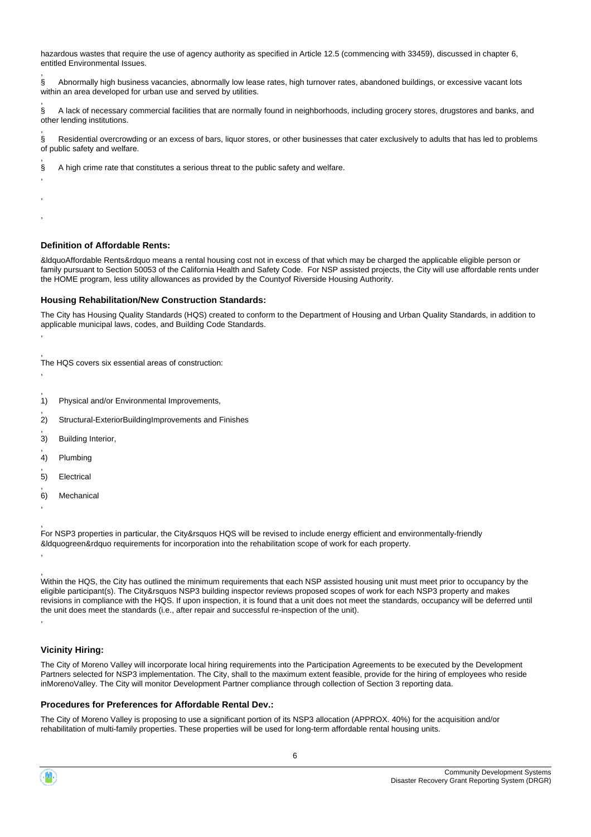hazardous wastes that require the use of agency authority as specified in Article 12.5 (commencing with 33459), discussed in chapter 6, entitled Environmental Issues. ,

§ Abnormally high business vacancies, abnormally low lease rates, high turnover rates, abandoned buildings, or excessive vacant lots within an area developed for urban use and served by utilities.

, § A lack of necessary commercial facilities that are normally found in neighborhoods, including grocery stores, drugstores and banks, and other lending institutions.

§ Residential overcrowding or an excess of bars, liquor stores, or other businesses that cater exclusively to adults that has led to problems of public safety and welfare.

§ A high crime rate that constitutes a serious threat to the public safety and welfare.

#### **Definition of Affordable Rents:**

,

,

, , ,

,

,

,

, ,

,

&ldquoAffordable Rents&rdquo means a rental housing cost not in excess of that which may be charged the applicable eligible person or family pursuant to Section 50053 of the California Health and Safety Code. For NSP assisted projects, the City will use affordable rents under the HOME program, less utility allowances as provided by the Countyof Riverside Housing Authority.

#### **Housing Rehabilitation/New Construction Standards:**

The City has Housing Quality Standards (HQS) created to conform to the Department of Housing and Urban Quality Standards, in addition to applicable municipal laws, codes, and Building Code Standards.

, The HQS covers six essential areas of construction:

- , 1) Physical and/or Environmental Improvements,
- , 2) Structural-ExteriorBuildingImprovements and Finishes
- , 3) Building Interior,
- , 4) Plumbing
- , 5) Electrical
- 6) Mechanical

For NSP3 properties in particular, the City&rsquos HQS will be revised to include energy efficient and environmentally-friendly &ldquogreen&rdquo requirements for incorporation into the rehabilitation scope of work for each property.

, Within the HQS, the City has outlined the minimum requirements that each NSP assisted housing unit must meet prior to occupancy by the eligible participant(s). The City&rsquos NSP3 building inspector reviews proposed scopes of work for each NSP3 property and makes revisions in compliance with the HQS. If upon inspection, it is found that a unit does not meet the standards, occupancy will be deferred until the unit does meet the standards (i.e., after repair and successful re-inspection of the unit). ,

#### **Vicinity Hiring:**

The City of Moreno Valley will incorporate local hiring requirements into the Participation Agreements to be executed by the Development Partners selected for NSP3 implementation. The City, shall to the maximum extent feasible, provide for the hiring of employees who reside inMorenoValley. The City will monitor Development Partner compliance through collection of Section 3 reporting data.

#### **Procedures for Preferences for Affordable Rental Dev.:**

The City of Moreno Valley is proposing to use a significant portion of its NSP3 allocation (APPROX. 40%) for the acquisition and/or rehabilitation of multi-family properties. These properties will be used for long-term affordable rental housing units.

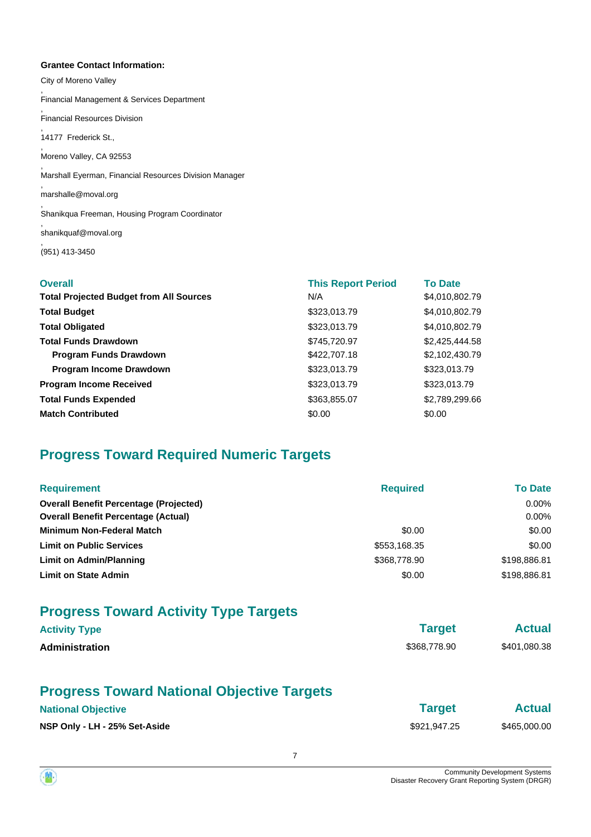#### **Grantee Contact Information:**

City of Moreno Valley , Financial Management & Services Department , Financial Resources Division , 14177 Frederick St., , Moreno Valley, CA 92553 , Marshall Eyerman, Financial Resources Division Manager , marshalle@moval.org , Shanikqua Freeman, Housing Program Coordinator , shanikquaf@moval.org , (951) 413-3450

| <b>Overall</b>                                 | <b>This Report Period</b> | <b>To Date</b> |
|------------------------------------------------|---------------------------|----------------|
| <b>Total Projected Budget from All Sources</b> | N/A                       | \$4,010,802.79 |
| <b>Total Budget</b>                            | \$323,013.79              | \$4,010,802.79 |
| <b>Total Obligated</b>                         | \$323,013.79              | \$4,010,802.79 |
| <b>Total Funds Drawdown</b>                    | \$745.720.97              | \$2,425,444.58 |
| <b>Program Funds Drawdown</b>                  | \$422,707.18              | \$2,102,430.79 |
| Program Income Drawdown                        | \$323,013.79              | \$323,013.79   |
| <b>Program Income Received</b>                 | \$323,013.79              | \$323,013.79   |
| <b>Total Funds Expended</b>                    | \$363,855.07              | \$2,789,299.66 |
| <b>Match Contributed</b>                       | \$0.00                    | \$0.00         |

# **Progress Toward Required Numeric Targets**

| <b>Requirement</b>                            | <b>Required</b> | <b>To Date</b> |
|-----------------------------------------------|-----------------|----------------|
| <b>Overall Benefit Percentage (Projected)</b> |                 | $0.00\%$       |
| <b>Overall Benefit Percentage (Actual)</b>    |                 | $0.00\%$       |
| <b>Minimum Non-Federal Match</b>              | \$0.00          | \$0.00         |
| <b>Limit on Public Services</b>               | \$553,168.35    | \$0.00         |
| Limit on Admin/Planning                       | \$368,778.90    | \$198,886.81   |
| <b>Limit on State Admin</b>                   | \$0.00          | \$198,886.81   |

# **Progress Toward Activity Type Targets**

| <b>Activity Type</b>  | <b>Target</b> | <b>Actual</b> |
|-----------------------|---------------|---------------|
| <b>Administration</b> | \$368,778.90  | \$401,080.38  |
|                       |               |               |

7

# **Progress Toward National Objective Targets**

# **National Objective Actual**

**NSP Only - LH - 25% Set-Aside**  $$921,947.25$   $$465,000.00$ 

|              | . u. god |  |  |
|--------------|----------|--|--|
| \$921,947.25 |          |  |  |

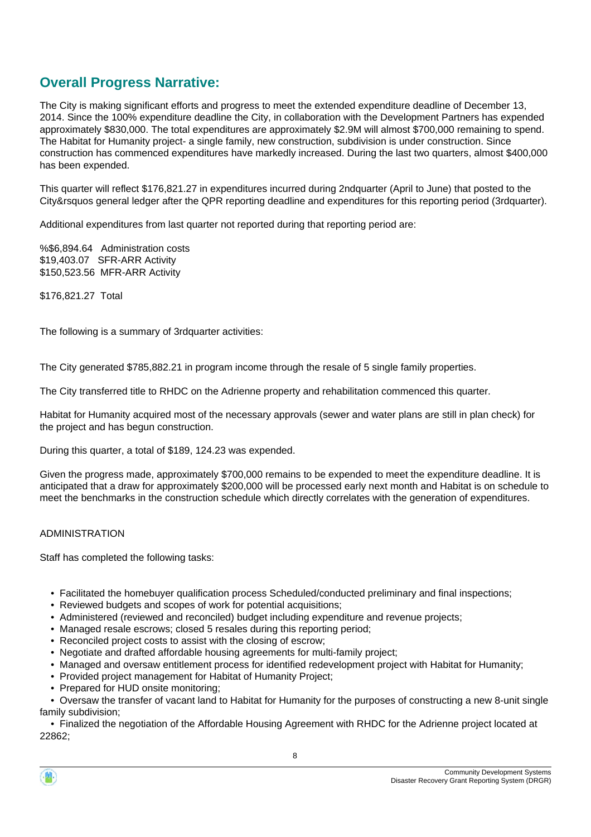# **Overall Progress Narrative:**

The City is making significant efforts and progress to meet the extended expenditure deadline of December 13, 2014. Since the 100% expenditure deadline the City, in collaboration with the Development Partners has expended approximately \$830,000. The total expenditures are approximately \$2.9M will almost \$700,000 remaining to spend. The Habitat for Humanity project- a single family, new construction, subdivision is under construction. Since construction has commenced expenditures have markedly increased. During the last two quarters, almost \$400,000 has been expended.

This quarter will reflect \$176,821.27 in expenditures incurred during 2ndquarter (April to June) that posted to the City&rsquos general ledger after the QPR reporting deadline and expenditures for this reporting period (3rdquarter).

Additional expenditures from last quarter not reported during that reporting period are:

%\$6,894.64 Administration costs \$19,403.07 SFR-ARR Activity \$150,523.56 MFR-ARR Activity

\$176,821.27 Total

The following is a summary of 3rdquarter activities:

The City generated \$785,882.21 in program income through the resale of 5 single family properties.

The City transferred title to RHDC on the Adrienne property and rehabilitation commenced this quarter.

Habitat for Humanity acquired most of the necessary approvals (sewer and water plans are still in plan check) for the project and has begun construction.

During this quarter, a total of \$189, 124.23 was expended.

Given the progress made, approximately \$700,000 remains to be expended to meet the expenditure deadline. It is anticipated that a draw for approximately \$200,000 will be processed early next month and Habitat is on schedule to meet the benchmarks in the construction schedule which directly correlates with the generation of expenditures.

#### ADMINISTRATION

Staff has completed the following tasks:

- Facilitated the homebuyer qualification process Scheduled/conducted preliminary and final inspections;
- Reviewed budgets and scopes of work for potential acquisitions:
- Administered (reviewed and reconciled) budget including expenditure and revenue projects;
- Managed resale escrows; closed 5 resales during this reporting period;
- Reconciled project costs to assist with the closing of escrow;
- Negotiate and drafted affordable housing agreements for multi-family project;
- Managed and oversaw entitlement process for identified redevelopment project with Habitat for Humanity;
- Provided project management for Habitat of Humanity Project;
- Prepared for HUD onsite monitoring:

 • Oversaw the transfer of vacant land to Habitat for Humanity for the purposes of constructing a new 8-unit single family subdivision;

 • Finalized the negotiation of the Affordable Housing Agreement with RHDC for the Adrienne project located at 22862;

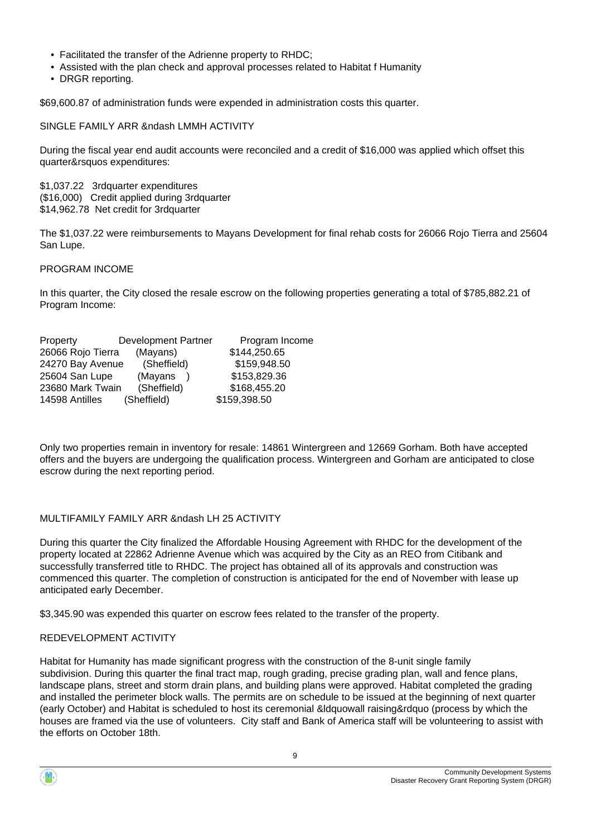- Facilitated the transfer of the Adrienne property to RHDC;
- Assisted with the plan check and approval processes related to Habitat f Humanity
- DRGR reporting.

\$69,600.87 of administration funds were expended in administration costs this quarter.

#### SINGLE FAMILY ARR &ndash LMMH ACTIVITY

During the fiscal year end audit accounts were reconciled and a credit of \$16,000 was applied which offset this quarter&rsquos expenditures:

\$1,037.22 3rdquarter expenditures (\$16,000) Credit applied during 3rdquarter \$14,962.78 Net credit for 3rdquarter

The \$1,037.22 were reimbursements to Mayans Development for final rehab costs for 26066 Rojo Tierra and 25604 San Lupe.

#### PROGRAM INCOME

In this quarter, the City closed the resale escrow on the following properties generating a total of \$785,882.21 of Program Income:

| Property          | <b>Development Partner</b> | Program Income |
|-------------------|----------------------------|----------------|
| 26066 Rojo Tierra | (Mayans)                   | \$144,250.65   |
| 24270 Bay Avenue  | (Sheffield)                | \$159,948.50   |
| 25604 San Lupe    | (Mayans                    | \$153,829.36   |
| 23680 Mark Twain  | (Sheffield)                | \$168,455.20   |
| 14598 Antilles    | (Sheffield)                | \$159,398.50   |

Only two properties remain in inventory for resale: 14861 Wintergreen and 12669 Gorham. Both have accepted offers and the buyers are undergoing the qualification process. Wintergreen and Gorham are anticipated to close escrow during the next reporting period.

#### MULTIFAMILY FAMILY ARR &ndash LH 25 ACTIVITY

During this quarter the City finalized the Affordable Housing Agreement with RHDC for the development of the property located at 22862 Adrienne Avenue which was acquired by the City as an REO from Citibank and successfully transferred title to RHDC. The project has obtained all of its approvals and construction was commenced this quarter. The completion of construction is anticipated for the end of November with lease up anticipated early December.

\$3,345.90 was expended this quarter on escrow fees related to the transfer of the property.

#### REDEVELOPMENT ACTIVITY

Habitat for Humanity has made significant progress with the construction of the 8-unit single family subdivision. During this quarter the final tract map, rough grading, precise grading plan, wall and fence plans, landscape plans, street and storm drain plans, and building plans were approved. Habitat completed the grading and installed the perimeter block walls. The permits are on schedule to be issued at the beginning of next quarter (early October) and Habitat is scheduled to host its ceremonial &ldquowall raising&rdquo (process by which the houses are framed via the use of volunteers. City staff and Bank of America staff will be volunteering to assist with the efforts on October 18th.

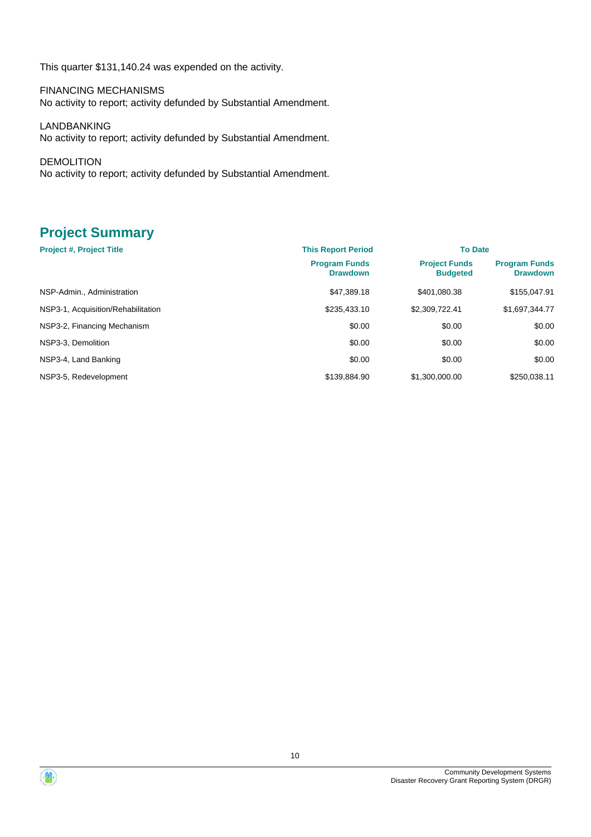This quarter \$131,140.24 was expended on the activity.

FINANCING MECHANISMS No activity to report; activity defunded by Substantial Amendment.

LANDBANKING No activity to report; activity defunded by Substantial Amendment.

DEMOLITION No activity to report; activity defunded by Substantial Amendment.

# **Project Summary**

| <b>Project #, Project Title</b>    | <b>This Report Period</b>               | <b>To Date</b>                          |                                         |
|------------------------------------|-----------------------------------------|-----------------------------------------|-----------------------------------------|
|                                    | <b>Program Funds</b><br><b>Drawdown</b> | <b>Project Funds</b><br><b>Budgeted</b> | <b>Program Funds</b><br><b>Drawdown</b> |
| NSP-Admin., Administration         | \$47.389.18                             | \$401.080.38                            | \$155,047.91                            |
| NSP3-1, Acquisition/Rehabilitation | \$235,433.10                            | \$2,309,722.41                          | \$1,697,344.77                          |
| NSP3-2, Financing Mechanism        | \$0.00                                  | \$0.00                                  | \$0.00                                  |
| NSP3-3. Demolition                 | \$0.00                                  | \$0.00                                  | \$0.00                                  |
| NSP3-4, Land Banking               | \$0.00                                  | \$0.00                                  | \$0.00                                  |
| NSP3-5, Redevelopment              | \$139,884.90                            | \$1,300,000,00                          | \$250.038.11                            |



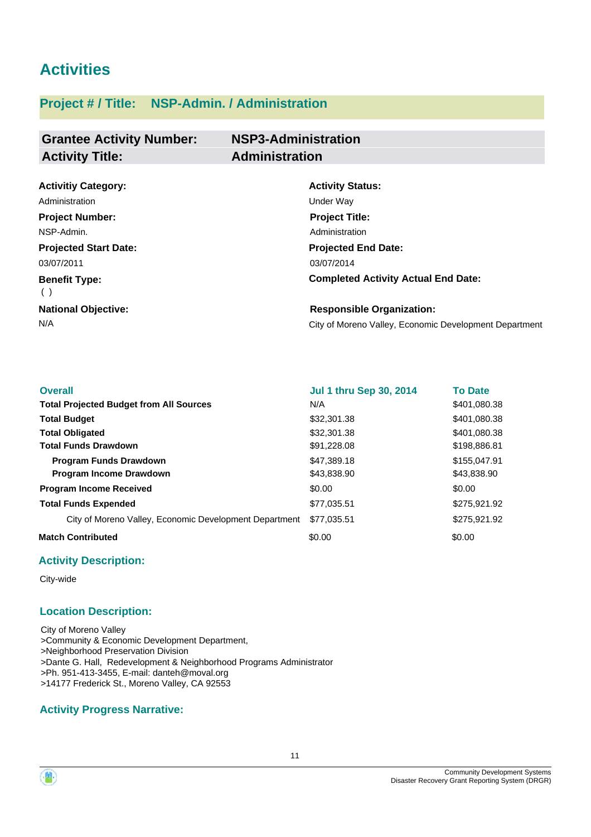# **Activities**

# **Project # / Title: NSP-Admin. / Administration**

| <b>Grantee Activity Number:</b> | <b>NSP3-Administration</b> |
|---------------------------------|----------------------------|
| <b>Activity Title:</b>          | <b>Administration</b>      |

| <b>Activitiy Category:</b>   | <b>Activity Status:</b>                                |
|------------------------------|--------------------------------------------------------|
| Administration               | <b>Under Wav</b>                                       |
| <b>Project Number:</b>       | <b>Project Title:</b>                                  |
| NSP-Admin.                   | Administration                                         |
| <b>Projected Start Date:</b> | <b>Projected End Date:</b>                             |
| 03/07/2011                   | 03/07/2014                                             |
| <b>Benefit Type:</b>         | <b>Completed Activity Actual End Date:</b>             |
| <b>National Objective:</b>   | <b>Responsible Organization:</b>                       |
| N/A                          | City of Moreno Valley, Economic Development Department |

| <b>Overall</b>                                         | <b>Jul 1 thru Sep 30, 2014</b> | <b>To Date</b> |
|--------------------------------------------------------|--------------------------------|----------------|
| <b>Total Projected Budget from All Sources</b>         | N/A                            | \$401,080.38   |
| <b>Total Budget</b>                                    | \$32,301.38                    | \$401,080.38   |
| <b>Total Obligated</b>                                 | \$32,301.38                    | \$401.080.38   |
| <b>Total Funds Drawdown</b>                            | \$91,228.08                    | \$198,886.81   |
| <b>Program Funds Drawdown</b>                          | \$47,389.18                    | \$155,047.91   |
| <b>Program Income Drawdown</b>                         | \$43,838.90                    | \$43,838.90    |
| <b>Program Income Received</b>                         | \$0.00                         | \$0.00         |
| <b>Total Funds Expended</b>                            | \$77,035.51                    | \$275,921.92   |
| City of Moreno Valley, Economic Development Department | \$77,035.51                    | \$275,921.92   |
| <b>Match Contributed</b>                               | \$0.00                         | \$0.00         |

# **Activity Description:**

City-wide

#### **Location Description:**

City of Moreno Valley >Community & Economic Development Department, >Neighborhood Preservation Division >Dante G. Hall, Redevelopment & Neighborhood Programs Administrator >Ph. 951-413-3455, E-mail: danteh@moval.org >14177 Frederick St., Moreno Valley, CA 92553

# **Activity Progress Narrative:**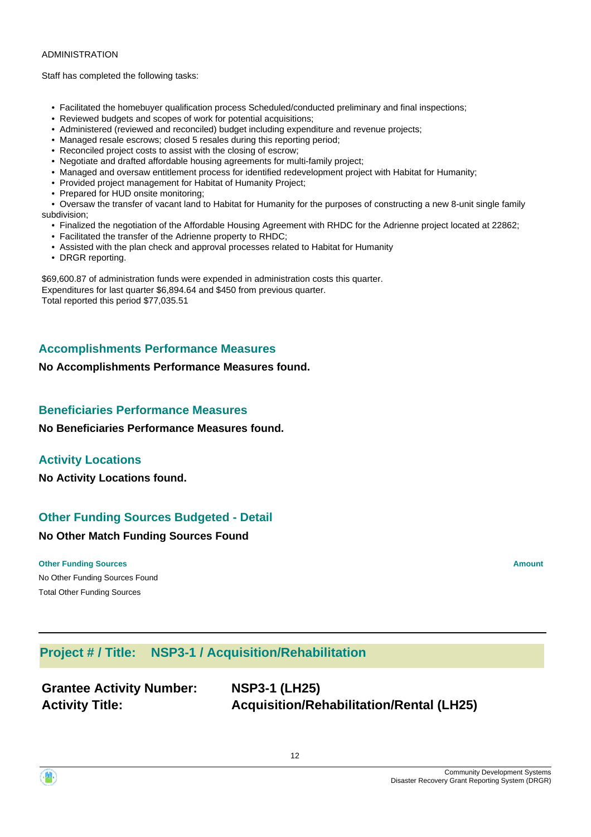#### ADMINISTRATION

Staff has completed the following tasks:

- Facilitated the homebuyer qualification process Scheduled/conducted preliminary and final inspections;
- Reviewed budgets and scopes of work for potential acquisitions;
- Administered (reviewed and reconciled) budget including expenditure and revenue projects;
- Managed resale escrows; closed 5 resales during this reporting period;
- Reconciled project costs to assist with the closing of escrow;
- Negotiate and drafted affordable housing agreements for multi-family project;
- Managed and oversaw entitlement process for identified redevelopment project with Habitat for Humanity;
- Provided project management for Habitat of Humanity Project;
- Prepared for HUD onsite monitoring;

 • Oversaw the transfer of vacant land to Habitat for Humanity for the purposes of constructing a new 8-unit single family subdivision;

- Finalized the negotiation of the Affordable Housing Agreement with RHDC for the Adrienne project located at 22862;
- Facilitated the transfer of the Adrienne property to RHDC;
- Assisted with the plan check and approval processes related to Habitat for Humanity
- DRGR reporting.

\$69,600.87 of administration funds were expended in administration costs this quarter. Expenditures for last quarter \$6,894.64 and \$450 from previous quarter. Total reported this period \$77,035.51

# **Accomplishments Performance Measures**

#### **No Accomplishments Performance Measures found.**

#### **Beneficiaries Performance Measures**

**No Beneficiaries Performance Measures found.**

#### **Activity Locations**

**No Activity Locations found.**

# **Other Funding Sources Budgeted - Detail**

#### **No Other Match Funding Sources Found**

No Other Funding Sources Found **Other Funding Sources Amount Amount Amount Amount Amount Amount Amount** Total Other Funding Sources

# **Project # / Title: NSP3-1 / Acquisition/Rehabilitation**

| <b>Grantee Activity Number:</b> |  |
|---------------------------------|--|
| <b>Activity Title:</b>          |  |

**Grantee Activity Number: NSP3-1 (LH25) Activity Title: Acquisition/Rehabilitation/Rental (LH25)**

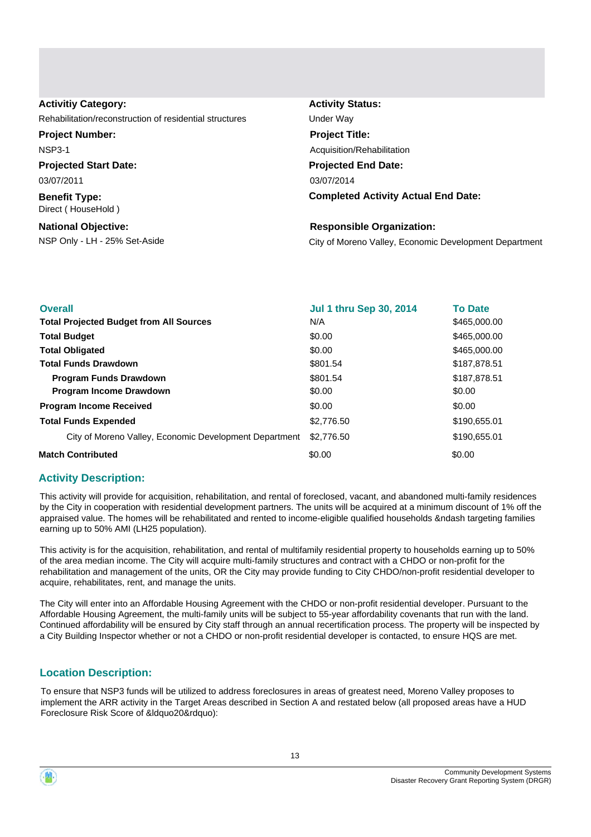| <b>Activitiy Category:</b>                              | <b>Activity Status:</b>                                |
|---------------------------------------------------------|--------------------------------------------------------|
| Rehabilitation/reconstruction of residential structures | Under Wav                                              |
| <b>Project Number:</b>                                  | <b>Project Title:</b>                                  |
| <b>NSP3-1</b>                                           | Acquisition/Rehabilitation                             |
| <b>Projected Start Date:</b>                            | <b>Projected End Date:</b>                             |
| 03/07/2011                                              | 03/07/2014                                             |
| <b>Benefit Type:</b><br>Direct (HouseHold)              | <b>Completed Activity Actual End Date:</b>             |
| <b>National Objective:</b>                              | <b>Responsible Organization:</b>                       |
| NSP Only - LH - 25% Set-Aside                           | City of Moreno Valley, Economic Development Department |
|                                                         |                                                        |

| <b>Overall</b>                                         | <b>Jul 1 thru Sep 30, 2014</b> | <b>To Date</b> |
|--------------------------------------------------------|--------------------------------|----------------|
| <b>Total Projected Budget from All Sources</b>         | N/A                            | \$465,000.00   |
| <b>Total Budget</b>                                    | \$0.00                         | \$465,000.00   |
| <b>Total Obligated</b>                                 | \$0.00                         | \$465,000.00   |
| <b>Total Funds Drawdown</b>                            | \$801.54                       | \$187,878.51   |
| <b>Program Funds Drawdown</b>                          | \$801.54                       | \$187,878.51   |
| <b>Program Income Drawdown</b>                         | \$0.00                         | \$0.00         |
| <b>Program Income Received</b>                         | \$0.00                         | \$0.00         |
| <b>Total Funds Expended</b>                            | \$2,776.50                     | \$190,655.01   |
| City of Moreno Valley, Economic Development Department | \$2,776.50                     | \$190,655.01   |
| <b>Match Contributed</b>                               | \$0.00                         | \$0.00         |

#### **Activity Description:**

This activity will provide for acquisition, rehabilitation, and rental of foreclosed, vacant, and abandoned multi-family residences by the City in cooperation with residential development partners. The units will be acquired at a minimum discount of 1% off the appraised value. The homes will be rehabilitated and rented to income-eligible qualified households &ndash targeting families earning up to 50% AMI (LH25 population).

This activity is for the acquisition, rehabilitation, and rental of multifamily residential property to households earning up to 50% of the area median income. The City will acquire multi-family structures and contract with a CHDO or non-profit for the rehabilitation and management of the units, OR the City may provide funding to City CHDO/non-profit residential developer to acquire, rehabilitates, rent, and manage the units.

The City will enter into an Affordable Housing Agreement with the CHDO or non-profit residential developer. Pursuant to the Affordable Housing Agreement, the multi-family units will be subject to 55-year affordability covenants that run with the land. Continued affordability will be ensured by City staff through an annual recertification process. The property will be inspected by a City Building Inspector whether or not a CHDO or non-profit residential developer is contacted, to ensure HQS are met.

#### **Location Description:**

To ensure that NSP3 funds will be utilized to address foreclosures in areas of greatest need, Moreno Valley proposes to implement the ARR activity in the Target Areas described in Section A and restated below (all proposed areas have a HUD Foreclosure Risk Score of &ldquo20&rdquo):

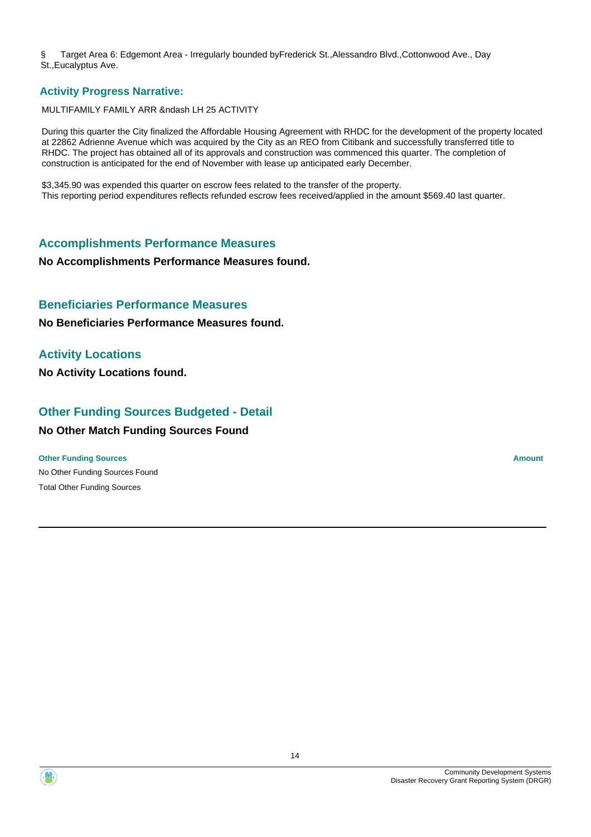§ Target Area 6: Edgemont Area - Irregularly bounded byFrederick St.,Alessandro Blvd.,Cottonwood Ave., Day St.,Eucalyptus Ave.

#### **Activity Progress Narrative:**

#### MULTIFAMILY FAMILY ARR &ndash LH 25 ACTIVITY

During this quarter the City finalized the Affordable Housing Agreement with RHDC for the development of the property located at 22862 Adrienne Avenue which was acquired by the City as an REO from Citibank and successfully transferred title to RHDC. The project has obtained all of its approvals and construction was commenced this quarter. The completion of construction is anticipated for the end of November with lease up anticipated early December.

\$3,345.90 was expended this quarter on escrow fees related to the transfer of the property. This reporting period expenditures reflects refunded escrow fees received/applied in the amount \$569.40 last quarter.

#### **Accomplishments Performance Measures**

#### **No Accomplishments Performance Measures found.**

#### **Beneficiaries Performance Measures**

**No Beneficiaries Performance Measures found.**

# **Activity Locations**

**No Activity Locations found.**

# **Other Funding Sources Budgeted - Detail**

# **No Other Match Funding Sources Found**

#### **Other Funding Sources Amount Amount Amount Amount Amount Amount Amount**

No Other Funding Sources Found Total Other Funding Sources

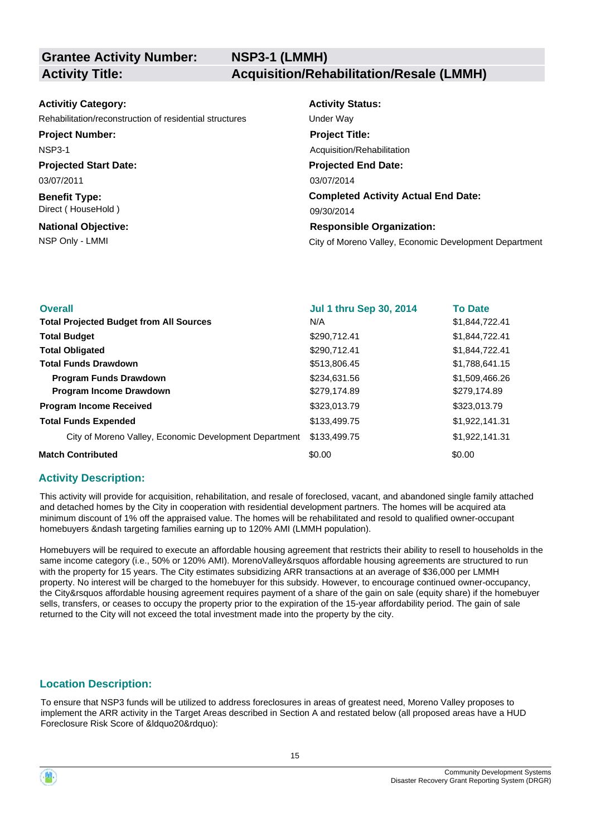**NSP3-1 (LMMH) Activity Title: Acquisition/Rehabilitation/Resale (LMMH)**

| <b>Activitiy Category:</b>                              | <b>Activity Status:</b>                                |
|---------------------------------------------------------|--------------------------------------------------------|
| Rehabilitation/reconstruction of residential structures | Under Way                                              |
| <b>Project Number:</b>                                  | <b>Project Title:</b>                                  |
| <b>NSP3-1</b>                                           | Acquisition/Rehabilitation                             |
| <b>Projected Start Date:</b>                            | <b>Projected End Date:</b>                             |
| 03/07/2011                                              | 03/07/2014                                             |
| <b>Benefit Type:</b>                                    | <b>Completed Activity Actual End Date:</b>             |
| Direct (HouseHold)                                      | 09/30/2014                                             |
| <b>National Objective:</b>                              | <b>Responsible Organization:</b>                       |
| NSP Only - LMMI                                         | City of Moreno Valley, Economic Development Department |

| <b>Overall</b>                                         | <b>Jul 1 thru Sep 30, 2014</b> | <b>To Date</b> |
|--------------------------------------------------------|--------------------------------|----------------|
| <b>Total Projected Budget from All Sources</b>         | N/A                            | \$1,844,722.41 |
| <b>Total Budget</b>                                    | \$290,712.41                   | \$1,844,722.41 |
| <b>Total Obligated</b>                                 | \$290,712.41                   | \$1,844,722.41 |
| <b>Total Funds Drawdown</b>                            | \$513,806.45                   | \$1,788,641.15 |
| <b>Program Funds Drawdown</b>                          | \$234,631.56                   | \$1,509,466.26 |
| <b>Program Income Drawdown</b>                         | \$279,174.89                   | \$279,174.89   |
| <b>Program Income Received</b>                         | \$323,013.79                   | \$323,013.79   |
| <b>Total Funds Expended</b>                            | \$133,499.75                   | \$1,922,141.31 |
| City of Moreno Valley, Economic Development Department | \$133,499.75                   | \$1,922,141.31 |
| <b>Match Contributed</b>                               | \$0.00                         | \$0.00         |

#### **Activity Description:**

This activity will provide for acquisition, rehabilitation, and resale of foreclosed, vacant, and abandoned single family attached and detached homes by the City in cooperation with residential development partners. The homes will be acquired ata minimum discount of 1% off the appraised value. The homes will be rehabilitated and resold to qualified owner-occupant homebuyers &ndash targeting families earning up to 120% AMI (LMMH population).

Homebuyers will be required to execute an affordable housing agreement that restricts their ability to resell to households in the same income category (i.e., 50% or 120% AMI). MorenoValley&rsquos affordable housing agreements are structured to run with the property for 15 years. The City estimates subsidizing ARR transactions at an average of \$36,000 per LMMH property. No interest will be charged to the homebuyer for this subsidy. However, to encourage continued owner-occupancy, the City&rsquos affordable housing agreement requires payment of a share of the gain on sale (equity share) if the homebuyer sells, transfers, or ceases to occupy the property prior to the expiration of the 15-year affordability period. The gain of sale returned to the City will not exceed the total investment made into the property by the city.

#### **Location Description:**

To ensure that NSP3 funds will be utilized to address foreclosures in areas of greatest need, Moreno Valley proposes to implement the ARR activity in the Target Areas described in Section A and restated below (all proposed areas have a HUD Foreclosure Risk Score of &ldquo20&rdquo):

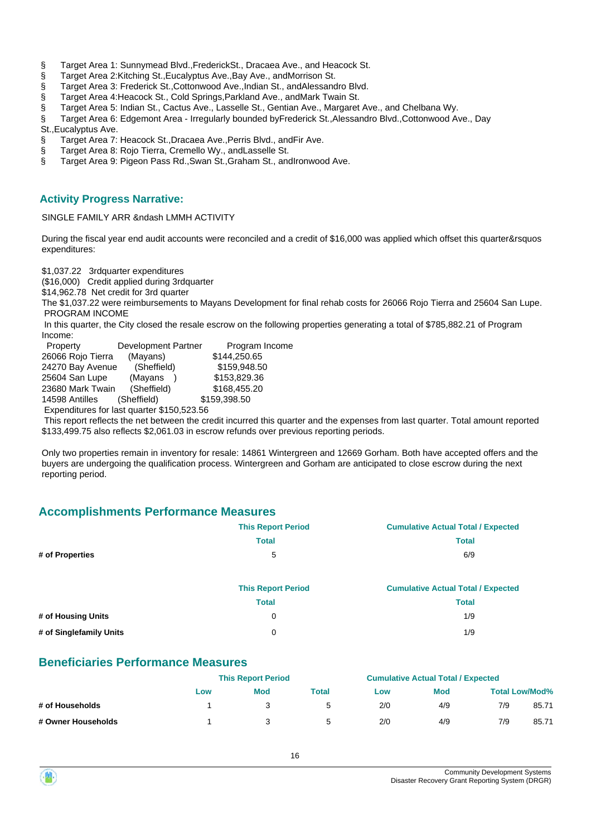- § Target Area 1: Sunnymead Blvd.,FrederickSt., Dracaea Ave., and Heacock St.
- § Target Area 2:Kitching St., Eucalyptus Ave., Bay Ave., and Morrison St.
- § Target Area 3: Frederick St.,Cottonwood Ave.,Indian St., andAlessandro Blvd.
- § Target Area 4:Heacock St., Cold Springs,Parkland Ave., andMark Twain St.
- § Target Area 5: Indian St., Cactus Ave., Lasselle St., Gentian Ave., Margaret Ave., and Chelbana Wy.
- § Target Area 6: Edgemont Area Irregularly bounded byFrederick St.,Alessandro Blvd.,Cottonwood Ave., Day
- St.,Eucalyptus Ave.
- § Target Area 7: Heacock St., Dracaea Ave., Perris Blvd., and Fir Ave.
- § Target Area 8: Rojo Tierra, Cremello Wy., andLasselle St.
- § Target Area 9: Pigeon Pass Rd., Swan St., Graham St., and Ironwood Ave.

#### **Activity Progress Narrative:**

#### SINGLE FAMILY ARR &ndash LMMH ACTIVITY

During the fiscal year end audit accounts were reconciled and a credit of \$16,000 was applied which offset this quarter&rsquos expenditures:

\$1,037.22 3rdquarter expenditures

(\$16,000) Credit applied during 3rdquarter

\$14,962.78 Net credit for 3rd quarter

The \$1,037.22 were reimbursements to Mayans Development for final rehab costs for 26066 Rojo Tierra and 25604 San Lupe. PROGRAM INCOME

 In this quarter, the City closed the resale escrow on the following properties generating a total of \$785,882.21 of Program Income:

| Property          | <b>Development Partner</b>                 | Program Income |
|-------------------|--------------------------------------------|----------------|
| 26066 Rojo Tierra | (Mayans)                                   | \$144,250.65   |
| 24270 Bay Avenue  | (Sheffield)                                | \$159.948.50   |
| 25604 San Lupe    | (Mayans                                    | \$153,829.36   |
| 23680 Mark Twain  | (Sheffield)                                | \$168,455.20   |
| 14598 Antilles    | (Sheffield)                                | \$159,398.50   |
|                   | Expenditures for last quarter \$150,523.56 |                |

 This report reflects the net between the credit incurred this quarter and the expenses from last quarter. Total amount reported \$133,499.75 also reflects \$2,061.03 in escrow refunds over previous reporting periods.

Only two properties remain in inventory for resale: 14861 Wintergreen and 12669 Gorham. Both have accepted offers and the buyers are undergoing the qualification process. Wintergreen and Gorham are anticipated to close escrow during the next reporting period.

# **Accomplishments Performance Measures**

|                         | <b>This Report Period</b> | <b>Cumulative Actual Total / Expected</b> |
|-------------------------|---------------------------|-------------------------------------------|
|                         | <b>Total</b>              | <b>Total</b>                              |
| # of Properties         | 5                         | 6/9                                       |
|                         |                           |                                           |
|                         | <b>This Report Period</b> | <b>Cumulative Actual Total / Expected</b> |
|                         | <b>Total</b>              | <b>Total</b>                              |
| # of Housing Units      | 0                         | 1/9                                       |
| # of Singlefamily Units | 0                         | 1/9                                       |
|                         |                           |                                           |

#### **Beneficiaries Performance Measures**

|                    | <b>This Report Period</b> |     |       | <b>Cumulative Actual Total / Expected</b> |            |     |                       |
|--------------------|---------------------------|-----|-------|-------------------------------------------|------------|-----|-----------------------|
|                    | Low                       | Mod | Total | Low                                       | <b>Mod</b> |     | <b>Total Low/Mod%</b> |
| # of Households    |                           |     | h     | 2/0                                       | 4/9        | 7/9 | 85.71                 |
| # Owner Households |                           |     | h     | 2/0                                       | 4/9        | 7/9 | 85.71                 |

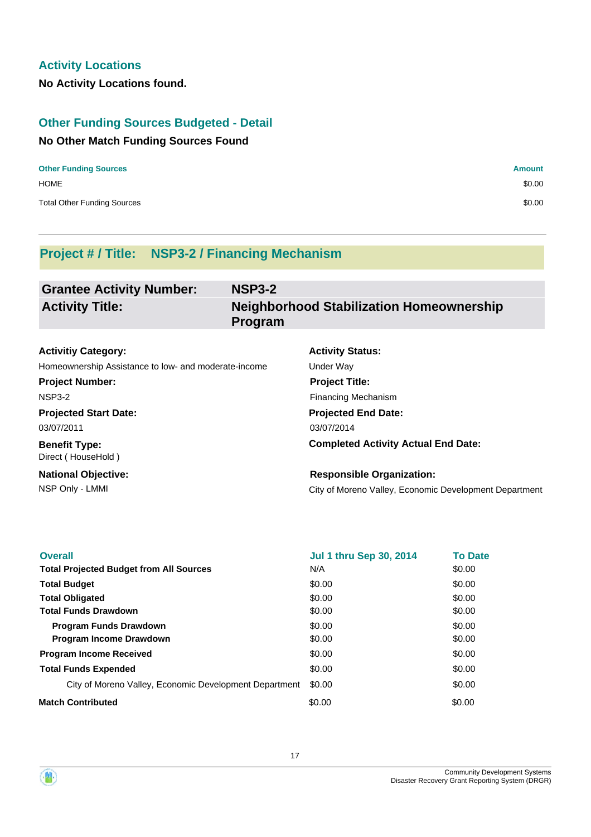# **Activity Locations**

**No Activity Locations found.**

# **Other Funding Sources Budgeted - Detail**

#### **No Other Match Funding Sources Found**

| <b>Other Funding Sources</b>       | <b>Amount</b> |
|------------------------------------|---------------|
| <b>HOME</b>                        | \$0.00        |
| <b>Total Other Funding Sources</b> | \$0.00        |

# **Project # / Title: NSP3-2 / Financing Mechanism**

| <b>Grantee Activity Number:</b> | <b>NSP3-2</b>                                                     |
|---------------------------------|-------------------------------------------------------------------|
| <b>Activity Title:</b>          | <b>Neighborhood Stabilization Homeownership</b><br><b>Program</b> |

| <b>Activitiy Category:</b>                           |  |
|------------------------------------------------------|--|
| Homeownership Assistance to low- and moderate-income |  |

**Project Number:** NSP3-2

**Projected Start Date:** 03/07/2011

**Benefit Type:** Direct ( HouseHold )

**National Objective:**

# **Projected End Date:** 03/07/2014 Under Way **Project Title:** Financing Mechanism

**Activity Status:**

**Completed Activity Actual End Date:**

NSP Only - LMMI City of Moreno Valley, Economic Development Department **Responsible Organization:**

| <b>Overall</b>                                         | <b>Jul 1 thru Sep 30, 2014</b> | <b>To Date</b> |
|--------------------------------------------------------|--------------------------------|----------------|
| <b>Total Projected Budget from All Sources</b>         | N/A                            | \$0.00         |
| <b>Total Budget</b>                                    | \$0.00                         | \$0.00         |
| <b>Total Obligated</b>                                 | \$0.00                         | \$0.00         |
| <b>Total Funds Drawdown</b>                            | \$0.00                         | \$0.00         |
| <b>Program Funds Drawdown</b>                          | \$0.00                         | \$0.00         |
| <b>Program Income Drawdown</b>                         | \$0.00                         | \$0.00         |
| <b>Program Income Received</b>                         | \$0.00                         | \$0.00         |
| <b>Total Funds Expended</b>                            | \$0.00                         | \$0.00         |
| City of Moreno Valley, Economic Development Department | \$0.00                         | \$0.00         |
| <b>Match Contributed</b>                               | \$0.00                         | \$0.00         |



17

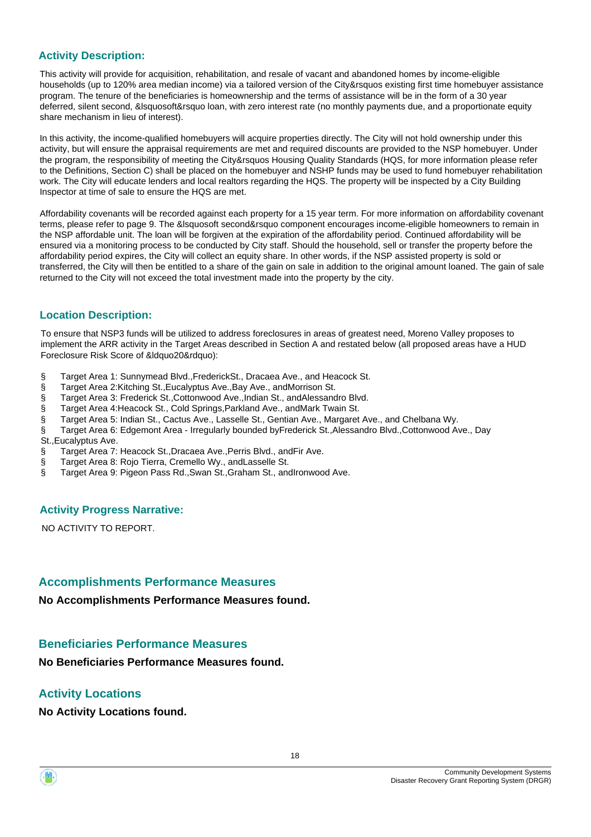# **Activity Description:**

This activity will provide for acquisition, rehabilitation, and resale of vacant and abandoned homes by income-eligible households (up to 120% area median income) via a tailored version of the City&rsquos existing first time homebuyer assistance program. The tenure of the beneficiaries is homeownership and the terms of assistance will be in the form of a 30 year deferred, silent second, &lsquosoft&rsquo loan, with zero interest rate (no monthly payments due, and a proportionate equity share mechanism in lieu of interest).

In this activity, the income-qualified homebuyers will acquire properties directly. The City will not hold ownership under this activity, but will ensure the appraisal requirements are met and required discounts are provided to the NSP homebuyer. Under the program, the responsibility of meeting the City&rsquos Housing Quality Standards (HQS, for more information please refer to the Definitions, Section C) shall be placed on the homebuyer and NSHP funds may be used to fund homebuyer rehabilitation work. The City will educate lenders and local realtors regarding the HQS. The property will be inspected by a City Building Inspector at time of sale to ensure the HQS are met.

Affordability covenants will be recorded against each property for a 15 year term. For more information on affordability covenant terms, please refer to page 9. The &lsquosoft second&rsquo component encourages income-eligible homeowners to remain in the NSP affordable unit. The loan will be forgiven at the expiration of the affordability period. Continued affordability will be ensured via a monitoring process to be conducted by City staff. Should the household, sell or transfer the property before the affordability period expires, the City will collect an equity share. In other words, if the NSP assisted property is sold or transferred, the City will then be entitled to a share of the gain on sale in addition to the original amount loaned. The gain of sale returned to the City will not exceed the total investment made into the property by the city.

# **Location Description:**

To ensure that NSP3 funds will be utilized to address foreclosures in areas of greatest need, Moreno Valley proposes to implement the ARR activity in the Target Areas described in Section A and restated below (all proposed areas have a HUD Foreclosure Risk Score of &ldquo20&rdquo):

- § Target Area 1: Sunnymead Blvd.,FrederickSt., Dracaea Ave., and Heacock St.
- § Target Area 2: Kitching St., Eucalyptus Ave., Bay Ave., and Morrison St.
- § Target Area 3: Frederick St.,Cottonwood Ave.,Indian St., andAlessandro Blvd.
- § Target Area 4:Heacock St., Cold Springs,Parkland Ave., andMark Twain St.
- § Target Area 5: Indian St., Cactus Ave., Lasselle St., Gentian Ave., Margaret Ave., and Chelbana Wy.
- § Target Area 6: Edgemont Area Irregularly bounded byFrederick St.,Alessandro Blvd.,Cottonwood Ave., Day

St.,Eucalyptus Ave.

- § Target Area 7: Heacock St., Dracaea Ave., Perris Blvd., and Fir Ave.
- § Target Area 8: Rojo Tierra, Cremello Wy., andLasselle St.
- § Target Area 9: Pigeon Pass Rd., Swan St., Graham St., andIronwood Ave.

#### **Activity Progress Narrative:**

NO ACTIVITY TO REPORT.

# **Accomplishments Performance Measures**

**No Accomplishments Performance Measures found.**

# **Beneficiaries Performance Measures**

**No Beneficiaries Performance Measures found.**

# **Activity Locations**

**No Activity Locations found.**

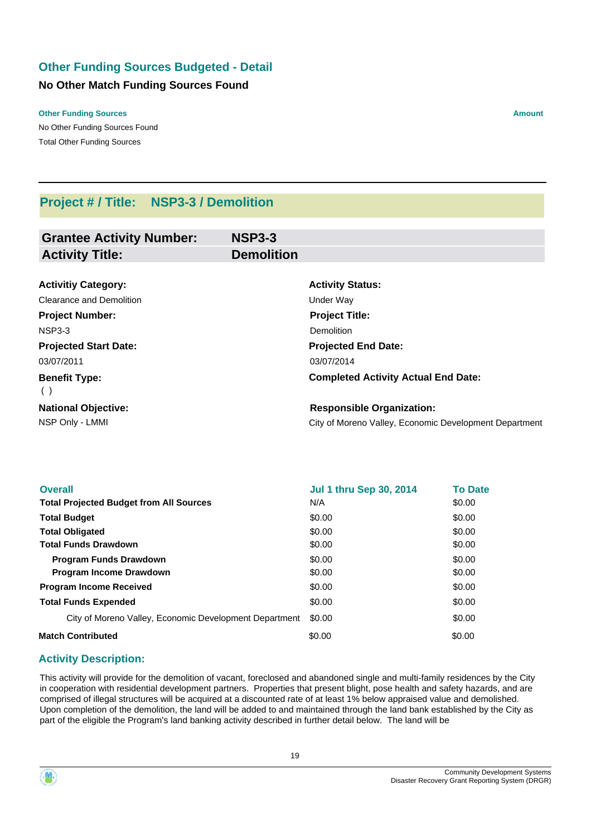# **Other Funding Sources Budgeted - Detail**

#### **No Other Match Funding Sources Found**

#### **Other Funding Sources Amount Amount Amount Amount Amount Amount Amount**

No Other Funding Sources Found Total Other Funding Sources

# **Project # / Title: NSP3-3 / Demolition**

| <b>Grantee Activity Number:</b> | <b>NSP3-3</b>     |                                                        |
|---------------------------------|-------------------|--------------------------------------------------------|
| <b>Activity Title:</b>          | <b>Demolition</b> |                                                        |
|                                 |                   |                                                        |
| <b>Activitiy Category:</b>      |                   | <b>Activity Status:</b>                                |
| Clearance and Demolition        |                   | Under Way                                              |
| <b>Project Number:</b>          |                   | <b>Project Title:</b>                                  |
| NSP3-3                          |                   | <b>Demolition</b>                                      |
| <b>Projected Start Date:</b>    |                   | <b>Projected End Date:</b>                             |
| 03/07/2011                      |                   | 03/07/2014                                             |
| <b>Benefit Type:</b><br>( )     |                   | <b>Completed Activity Actual End Date:</b>             |
| <b>National Objective:</b>      |                   | <b>Responsible Organization:</b>                       |
| NSP Only - LMMI                 |                   | City of Moreno Valley, Economic Development Department |

| <b>Overall</b>                                         | <b>Jul 1 thru Sep 30, 2014</b> | <b>To Date</b> |
|--------------------------------------------------------|--------------------------------|----------------|
| <b>Total Projected Budget from All Sources</b>         | N/A                            | \$0.00         |
| <b>Total Budget</b>                                    | \$0.00                         | \$0.00         |
| <b>Total Obligated</b>                                 | \$0.00                         | \$0.00         |
| <b>Total Funds Drawdown</b>                            | \$0.00                         | \$0.00         |
| <b>Program Funds Drawdown</b>                          | \$0.00                         | \$0.00         |
| <b>Program Income Drawdown</b>                         | \$0.00                         | \$0.00         |
| <b>Program Income Received</b>                         | \$0.00                         | \$0.00         |
| <b>Total Funds Expended</b>                            | \$0.00                         | \$0.00         |
| City of Moreno Valley, Economic Development Department | \$0.00                         | \$0.00         |
| <b>Match Contributed</b>                               | \$0.00                         | \$0.00         |

#### **Activity Description:**

This activity will provide for the demolition of vacant, foreclosed and abandoned single and multi-family residences by the City in cooperation with residential development partners. Properties that present blight, pose health and safety hazards, and are comprised of illegal structures will be acquired at a discounted rate of at least 1% below appraised value and demolished. Upon completion of the demolition, the land will be added to and maintained through the land bank established by the City as part of the eligible the Program's land banking activity described in further detail below. The land will be

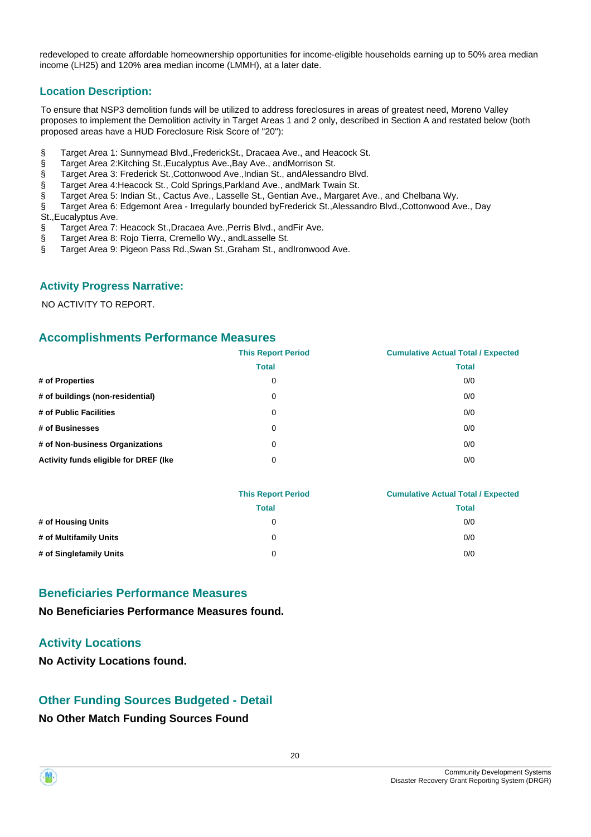redeveloped to create affordable homeownership opportunities for income-eligible households earning up to 50% area median income (LH25) and 120% area median income (LMMH), at a later date.

#### **Location Description:**

To ensure that NSP3 demolition funds will be utilized to address foreclosures in areas of greatest need, Moreno Valley proposes to implement the Demolition activity in Target Areas 1 and 2 only, described in Section A and restated below (both proposed areas have a HUD Foreclosure Risk Score of "20"):

- § Target Area 1: Sunnymead Blvd.,FrederickSt., Dracaea Ave., and Heacock St.
- § Target Area 2:Kitching St.,Eucalyptus Ave.,Bay Ave., andMorrison St.
- § Target Area 3: Frederick St., Cottonwood Ave., Indian St., and Alessandro Blvd.
- § Target Area 4:Heacock St., Cold Springs,Parkland Ave., andMark Twain St.
- § Target Area 5: Indian St., Cactus Ave., Lasselle St., Gentian Ave., Margaret Ave., and Chelbana Wy.
- § Target Area 6: Edgemont Area Irregularly bounded byFrederick St.,Alessandro Blvd.,Cottonwood Ave., Day St.,Eucalyptus Ave.
- § Target Area 7: Heacock St., Dracaea Ave., Perris Blvd., and Fir Ave.
- § Target Area 8: Rojo Tierra, Cremello Wy., andLasselle St.
- § Target Area 9: Pigeon Pass Rd., Swan St., Graham St., andIronwood Ave.

#### **Activity Progress Narrative:**

NO ACTIVITY TO REPORT.

# **Accomplishments Performance Measures**

|                                       | <b>This Report Period</b> | <b>Cumulative Actual Total / Expected</b> |
|---------------------------------------|---------------------------|-------------------------------------------|
|                                       | <b>Total</b>              | <b>Total</b>                              |
| # of Properties                       | 0                         | 0/0                                       |
| # of buildings (non-residential)      | 0                         | 0/0                                       |
| # of Public Facilities                | 0                         | 0/0                                       |
| # of Businesses                       | 0                         | 0/0                                       |
| # of Non-business Organizations       | 0                         | 0/0                                       |
| Activity funds eligible for DREF (Ike | 0                         | 0/0                                       |

| <b>This Report Period</b> | <b>Cumulative Actual Total / Expected</b> |  |
|---------------------------|-------------------------------------------|--|
| Total                     | Total                                     |  |
| 0                         | 0/0                                       |  |
| 0                         | 0/0                                       |  |
| 0                         | 0/0                                       |  |
|                           |                                           |  |

# **Beneficiaries Performance Measures**

**No Beneficiaries Performance Measures found.**

# **Activity Locations**

**No Activity Locations found.**

# **Other Funding Sources Budgeted - Detail**

#### **No Other Match Funding Sources Found**

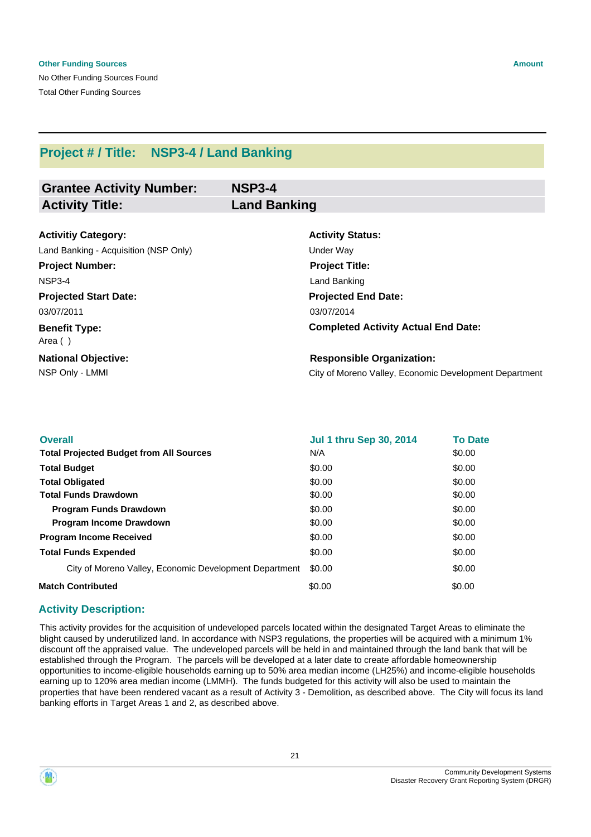No Other Funding Sources Found Total Other Funding Sources

| <b>Grantee Activity Number:</b> | <b>NSP3-4</b>       |
|---------------------------------|---------------------|
| <b>Activity Title:</b>          | <b>Land Banking</b> |

| <b>Activitiy Category:</b>            | <b>Activity Status:</b>                                |
|---------------------------------------|--------------------------------------------------------|
| Land Banking - Acquisition (NSP Only) | Under Way                                              |
| <b>Project Number:</b>                | <b>Project Title:</b>                                  |
| <b>NSP3-4</b>                         | Land Banking                                           |
| <b>Projected Start Date:</b>          | <b>Projected End Date:</b>                             |
| 03/07/2011                            | 03/07/2014                                             |
| <b>Benefit Type:</b><br>Area ()       | <b>Completed Activity Actual End Date:</b>             |
| <b>National Objective:</b>            | <b>Responsible Organization:</b>                       |
| NSP Only - LMMI                       | City of Moreno Valley, Economic Development Department |
|                                       |                                                        |

| <b>Overall</b>                                         | <b>Jul 1 thru Sep 30, 2014</b> | <b>To Date</b> |
|--------------------------------------------------------|--------------------------------|----------------|
| <b>Total Projected Budget from All Sources</b>         | N/A                            | \$0.00         |
| <b>Total Budget</b>                                    | \$0.00                         | \$0.00         |
| <b>Total Obligated</b>                                 | \$0.00                         | \$0.00         |
| <b>Total Funds Drawdown</b>                            | \$0.00                         | \$0.00         |
| <b>Program Funds Drawdown</b>                          | \$0.00                         | \$0.00         |
| <b>Program Income Drawdown</b>                         | \$0.00                         | \$0.00         |
| <b>Program Income Received</b>                         | \$0.00                         | \$0.00         |
| <b>Total Funds Expended</b>                            | \$0.00                         | \$0.00         |
| City of Moreno Valley, Economic Development Department | \$0.00                         | \$0.00         |
| <b>Match Contributed</b>                               | \$0.00                         | \$0.00         |

# **Activity Description:**

This activity provides for the acquisition of undeveloped parcels located within the designated Target Areas to eliminate the blight caused by underutilized land. In accordance with NSP3 regulations, the properties will be acquired with a minimum 1% discount off the appraised value. The undeveloped parcels will be held in and maintained through the land bank that will be established through the Program. The parcels will be developed at a later date to create affordable homeownership opportunities to income-eligible households earning up to 50% area median income (LH25%) and income-eligible households earning up to 120% area median income (LMMH). The funds budgeted for this activity will also be used to maintain the properties that have been rendered vacant as a result of Activity 3 - Demolition, as described above. The City will focus its land banking efforts in Target Areas 1 and 2, as described above.



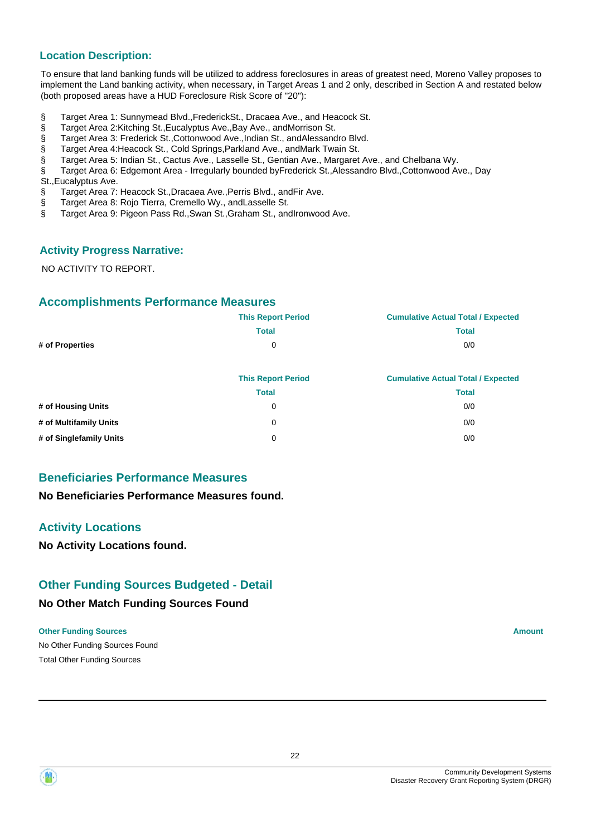#### **Location Description:**

To ensure that land banking funds will be utilized to address foreclosures in areas of greatest need, Moreno Valley proposes to implement the Land banking activity, when necessary, in Target Areas 1 and 2 only, described in Section A and restated below (both proposed areas have a HUD Foreclosure Risk Score of "20"):

- § Target Area 1: Sunnymead Blvd.,FrederickSt., Dracaea Ave., and Heacock St.
- § Target Area 2:Kitching St., Eucalyptus Ave., Bay Ave., and Morrison St.
- § Target Area 3: Frederick St., Cottonwood Ave., Indian St., and Alessandro Blvd.
- § Target Area 4:Heacock St., Cold Springs,Parkland Ave., andMark Twain St.
- § Target Area 5: Indian St., Cactus Ave., Lasselle St., Gentian Ave., Margaret Ave., and Chelbana Wy.
- § Target Area 6: Edgemont Area Irregularly bounded byFrederick St.,Alessandro Blvd.,Cottonwood Ave., Day St.,Eucalyptus Ave.
- § Target Area 7: Heacock St.,Dracaea Ave.,Perris Blvd., andFir Ave.
- 
- § Target Area 8: Rojo Tierra, Cremello Wy., andLasselle St.<br>§ Target Area 9: Pigeon Pass Rd. Swan St. Graham St.. and § Target Area 9: Pigeon Pass Rd.,Swan St.,Graham St., andIronwood Ave.

#### **Activity Progress Narrative:**

NO ACTIVITY TO REPORT.

#### **Accomplishments Performance Measures**

|                        | <b>This Report Period</b> | <b>Cumulative Actual Total / Expected</b> |
|------------------------|---------------------------|-------------------------------------------|
|                        | <b>Total</b>              | <b>Total</b>                              |
| # of Properties        | 0                         | 0/0                                       |
|                        | <b>This Report Period</b> | <b>Cumulative Actual Total / Expected</b> |
|                        | <b>Total</b>              | <b>Total</b>                              |
| # of Housing Units     | 0                         | 0/0                                       |
| # of Multifamily Units | 0                         | 0/0                                       |

**# of Singlefamily Units** 0 0/0

# **Beneficiaries Performance Measures**

**No Beneficiaries Performance Measures found.**

# **Activity Locations**

**No Activity Locations found.**

# **Other Funding Sources Budgeted - Detail**

#### **No Other Match Funding Sources Found**

#### **Other Funding Sources Amount Amount Amount Amount Amount Amount Amount**

No Other Funding Sources Found Total Other Funding Sources

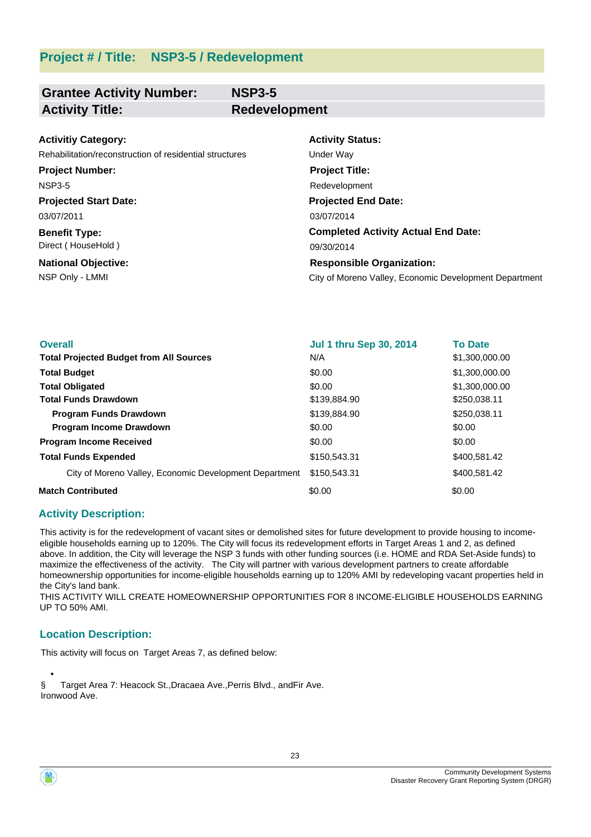| <b>Grantee Activity Number:</b> | <b>NSP3-5</b>        |
|---------------------------------|----------------------|
| <b>Activity Title:</b>          | <b>Redevelopment</b> |

| <b>Activitiy Category:</b>                              | <b>Activity Status:</b>                                |
|---------------------------------------------------------|--------------------------------------------------------|
| Rehabilitation/reconstruction of residential structures | Under Wav                                              |
| <b>Project Number:</b>                                  | <b>Project Title:</b>                                  |
| <b>NSP3-5</b>                                           | Redevelopment                                          |
| <b>Projected Start Date:</b>                            | <b>Projected End Date:</b>                             |
| 03/07/2011                                              | 03/07/2014                                             |
| <b>Benefit Type:</b>                                    | <b>Completed Activity Actual End Date:</b>             |
| Direct (HouseHold)                                      | 09/30/2014                                             |
| <b>National Objective:</b>                              | <b>Responsible Organization:</b>                       |
| NSP Only - LMMI                                         | City of Moreno Valley, Economic Development Department |

| <b>Overall</b>                                         | <b>Jul 1 thru Sep 30, 2014</b> | <b>To Date</b> |
|--------------------------------------------------------|--------------------------------|----------------|
| <b>Total Projected Budget from All Sources</b>         | N/A                            | \$1,300,000.00 |
| <b>Total Budget</b>                                    | \$0.00                         | \$1,300,000.00 |
| <b>Total Obligated</b>                                 | \$0.00                         | \$1,300,000.00 |
| <b>Total Funds Drawdown</b>                            | \$139,884.90                   | \$250,038.11   |
| <b>Program Funds Drawdown</b>                          | \$139,884,90                   | \$250,038.11   |
| Program Income Drawdown                                | \$0.00                         | \$0.00         |
| <b>Program Income Received</b>                         | \$0.00                         | \$0.00         |
| <b>Total Funds Expended</b>                            | \$150,543.31                   | \$400,581,42   |
| City of Moreno Valley, Economic Development Department | \$150,543,31                   | \$400,581.42   |
| <b>Match Contributed</b>                               | \$0.00                         | \$0.00         |

#### **Activity Description:**

This activity is for the redevelopment of vacant sites or demolished sites for future development to provide housing to incomeeligible households earning up to 120%. The City will focus its redevelopment efforts in Target Areas 1 and 2, as defined above. In addition, the City will leverage the NSP 3 funds with other funding sources (i.e. HOME and RDA Set-Aside funds) to maximize the effectiveness of the activity. The City will partner with various development partners to create affordable homeownership opportunities for income-eligible households earning up to 120% AMI by redeveloping vacant properties held in the City's land bank.

THIS ACTIVITY WILL CREATE HOMEOWNERSHIP OPPORTUNITIES FOR 8 INCOME-ELIGIBLE HOUSEHOLDS EARNING UP TO 50% AMI.

#### **Location Description:**

This activity will focus on Target Areas 7, as defined below:

 • § Target Area 7: Heacock St.,Dracaea Ave.,Perris Blvd., andFir Ave. Ironwood Ave.